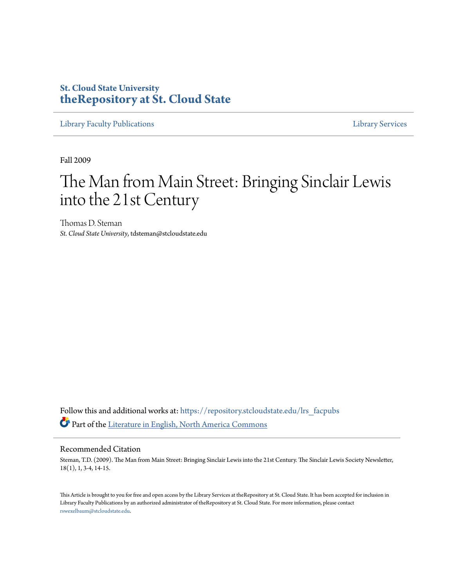## **St. Cloud State University [theRepository at St. Cloud State](https://repository.stcloudstate.edu?utm_source=repository.stcloudstate.edu%2Flrs_facpubs%2F18&utm_medium=PDF&utm_campaign=PDFCoverPages)**

[Library Faculty Publications](https://repository.stcloudstate.edu/lrs_facpubs?utm_source=repository.stcloudstate.edu%2Flrs_facpubs%2F18&utm_medium=PDF&utm_campaign=PDFCoverPages) [Library Services](https://repository.stcloudstate.edu/ls?utm_source=repository.stcloudstate.edu%2Flrs_facpubs%2F18&utm_medium=PDF&utm_campaign=PDFCoverPages)

Fall 2009

# The Man from Main Street: Bringing Sinclair Lewis into the 21st Century

Thomas D. Steman *St. Cloud State University*, tdsteman@stcloudstate.edu

Follow this and additional works at: [https://repository.stcloudstate.edu/lrs\\_facpubs](https://repository.stcloudstate.edu/lrs_facpubs?utm_source=repository.stcloudstate.edu%2Flrs_facpubs%2F18&utm_medium=PDF&utm_campaign=PDFCoverPages) Part of the [Literature in English, North America Commons](http://network.bepress.com/hgg/discipline/458?utm_source=repository.stcloudstate.edu%2Flrs_facpubs%2F18&utm_medium=PDF&utm_campaign=PDFCoverPages)

#### Recommended Citation

Steman, T.D. (2009). The Man from Main Street: Bringing Sinclair Lewis into the 21st Century. The Sinclair Lewis Society Newsletter, 18(1), 1, 3-4, 14-15.

This Article is brought to you for free and open access by the Library Services at theRepository at St. Cloud State. It has been accepted for inclusion in Library Faculty Publications by an authorized administrator of theRepository at St. Cloud State. For more information, please contact [rswexelbaum@stcloudstate.edu](mailto:rswexelbaum@stcloudstate.edu).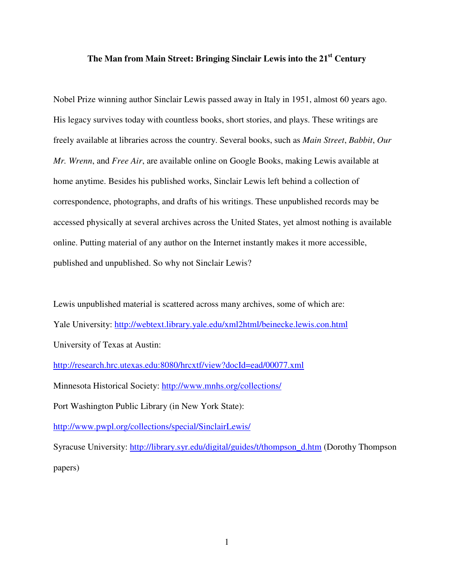## **The Man from Main Street: Bringing Sinclair Lewis into the 21st Century**

Nobel Prize winning author Sinclair Lewis passed away in Italy in 1951, almost 60 years ago. His legacy survives today with countless books, short stories, and plays. These writings are freely available at libraries across the country. Several books, such as *Main Street*, *Babbit*, *Our Mr. Wrenn*, and *Free Air*, are available online on Google Books, making Lewis available at home anytime. Besides his published works, Sinclair Lewis left behind a collection of correspondence, photographs, and drafts of his writings. These unpublished records may be accessed physically at several archives across the United States, yet almost nothing is available online. Putting material of any author on the Internet instantly makes it more accessible, published and unpublished. So why not Sinclair Lewis?

Lewis unpublished material is scattered across many archives, some of which are: Yale University: http://webtext.library.yale.edu/xml2html/beinecke.lewis.con.html University of Texas at Austin:

http://research.hrc.utexas.edu:8080/hrcxtf/view?docId=ead/00077.xml

Minnesota Historical Society: http://www.mnhs.org/collections/

Port Washington Public Library (in New York State):

http://www.pwpl.org/collections/special/SinclairLewis/

Syracuse University: http://library.syr.edu/digital/guides/t/thompson\_d.htm (Dorothy Thompson papers)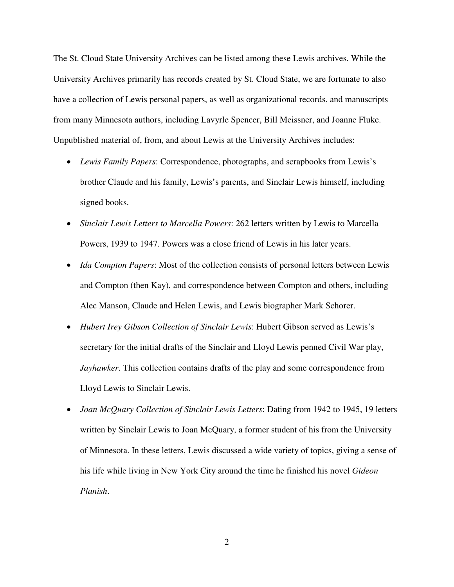The St. Cloud State University Archives can be listed among these Lewis archives. While the University Archives primarily has records created by St. Cloud State, we are fortunate to also have a collection of Lewis personal papers, as well as organizational records, and manuscripts from many Minnesota authors, including Lavyrle Spencer, Bill Meissner, and Joanne Fluke. Unpublished material of, from, and about Lewis at the University Archives includes:

- *Lewis Family Papers*: Correspondence, photographs, and scrapbooks from Lewis's brother Claude and his family, Lewis's parents, and Sinclair Lewis himself, including signed books.
- *Sinclair Lewis Letters to Marcella Powers*: 262 letters written by Lewis to Marcella Powers, 1939 to 1947. Powers was a close friend of Lewis in his later years.
- *Ida Compton Papers*: Most of the collection consists of personal letters between Lewis and Compton (then Kay), and correspondence between Compton and others, including Alec Manson, Claude and Helen Lewis, and Lewis biographer Mark Schorer.
- *Hubert Irey Gibson Collection of Sinclair Lewis*: Hubert Gibson served as Lewis's secretary for the initial drafts of the Sinclair and Lloyd Lewis penned Civil War play, *Jayhawker*. This collection contains drafts of the play and some correspondence from Lloyd Lewis to Sinclair Lewis.
- *Joan McQuary Collection of Sinclair Lewis Letters*: Dating from 1942 to 1945, 19 letters written by Sinclair Lewis to Joan McQuary, a former student of his from the University of Minnesota. In these letters, Lewis discussed a wide variety of topics, giving a sense of his life while living in New York City around the time he finished his novel *Gideon Planish*.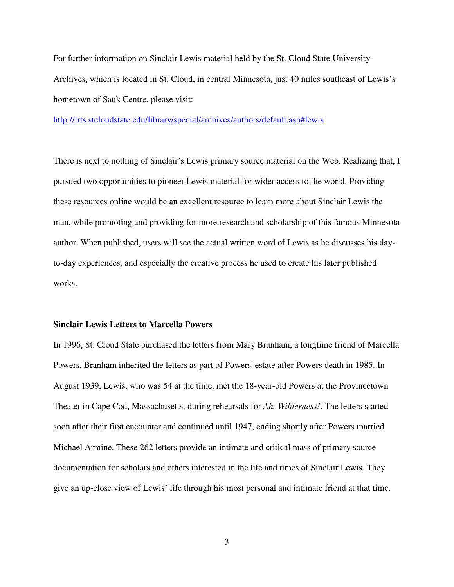For further information on Sinclair Lewis material held by the St. Cloud State University Archives, which is located in St. Cloud, in central Minnesota, just 40 miles southeast of Lewis's hometown of Sauk Centre, please visit:

http://lrts.stcloudstate.edu/library/special/archives/authors/default.asp#lewis

There is next to nothing of Sinclair's Lewis primary source material on the Web. Realizing that, I pursued two opportunities to pioneer Lewis material for wider access to the world. Providing these resources online would be an excellent resource to learn more about Sinclair Lewis the man, while promoting and providing for more research and scholarship of this famous Minnesota author. When published, users will see the actual written word of Lewis as he discusses his dayto-day experiences, and especially the creative process he used to create his later published works.

### **Sinclair Lewis Letters to Marcella Powers**

In 1996, St. Cloud State purchased the letters from Mary Branham, a longtime friend of Marcella Powers. Branham inherited the letters as part of Powers' estate after Powers death in 1985. In August 1939, Lewis, who was 54 at the time, met the 18-year-old Powers at the Provincetown Theater in Cape Cod, Massachusetts, during rehearsals for *Ah, Wilderness!*. The letters started soon after their first encounter and continued until 1947, ending shortly after Powers married Michael Armine. These 262 letters provide an intimate and critical mass of primary source documentation for scholars and others interested in the life and times of Sinclair Lewis. They give an up-close view of Lewis' life through his most personal and intimate friend at that time.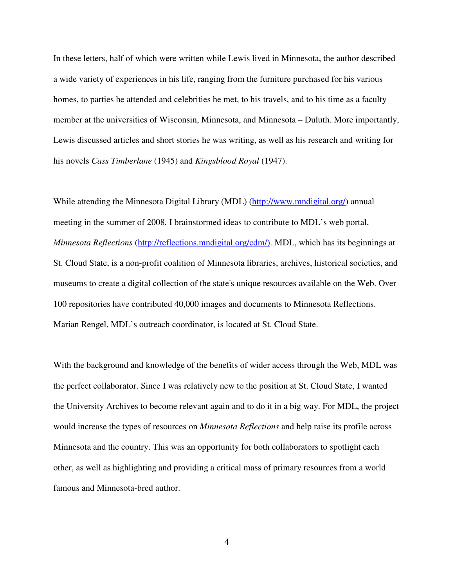In these letters, half of which were written while Lewis lived in Minnesota, the author described a wide variety of experiences in his life, ranging from the furniture purchased for his various homes, to parties he attended and celebrities he met, to his travels, and to his time as a faculty member at the universities of Wisconsin, Minnesota, and Minnesota – Duluth. More importantly, Lewis discussed articles and short stories he was writing, as well as his research and writing for his novels *Cass Timberlane* (1945) and *Kingsblood Royal* (1947).

While attending the Minnesota Digital Library (MDL) (http://www.mndigital.org/) annual meeting in the summer of 2008, I brainstormed ideas to contribute to MDL's web portal, *Minnesota Reflections* (http://reflections.mndigital.org/cdm/). MDL, which has its beginnings at St. Cloud State, is a non-profit coalition of Minnesota libraries, archives, historical societies, and museums to create a digital collection of the state's unique resources available on the Web. Over 100 repositories have contributed 40,000 images and documents to Minnesota Reflections. Marian Rengel, MDL's outreach coordinator, is located at St. Cloud State.

With the background and knowledge of the benefits of wider access through the Web, MDL was the perfect collaborator. Since I was relatively new to the position at St. Cloud State, I wanted the University Archives to become relevant again and to do it in a big way. For MDL, the project would increase the types of resources on *Minnesota Reflections* and help raise its profile across Minnesota and the country. This was an opportunity for both collaborators to spotlight each other, as well as highlighting and providing a critical mass of primary resources from a world famous and Minnesota-bred author.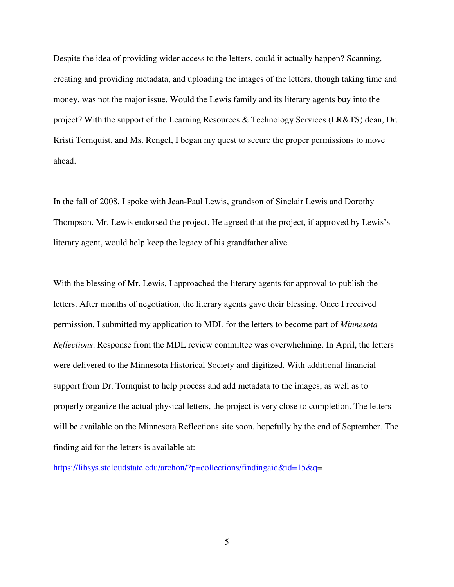Despite the idea of providing wider access to the letters, could it actually happen? Scanning, creating and providing metadata, and uploading the images of the letters, though taking time and money, was not the major issue. Would the Lewis family and its literary agents buy into the project? With the support of the Learning Resources & Technology Services (LR&TS) dean, Dr. Kristi Tornquist, and Ms. Rengel, I began my quest to secure the proper permissions to move ahead.

In the fall of 2008, I spoke with Jean-Paul Lewis, grandson of Sinclair Lewis and Dorothy Thompson. Mr. Lewis endorsed the project. He agreed that the project, if approved by Lewis's literary agent, would help keep the legacy of his grandfather alive.

With the blessing of Mr. Lewis, I approached the literary agents for approval to publish the letters. After months of negotiation, the literary agents gave their blessing. Once I received permission, I submitted my application to MDL for the letters to become part of *Minnesota Reflections*. Response from the MDL review committee was overwhelming. In April, the letters were delivered to the Minnesota Historical Society and digitized. With additional financial support from Dr. Tornquist to help process and add metadata to the images, as well as to properly organize the actual physical letters, the project is very close to completion. The letters will be available on the Minnesota Reflections site soon, hopefully by the end of September. The finding aid for the letters is available at:

https://libsys.stcloudstate.edu/archon/?p=collections/findingaid&id=15&q=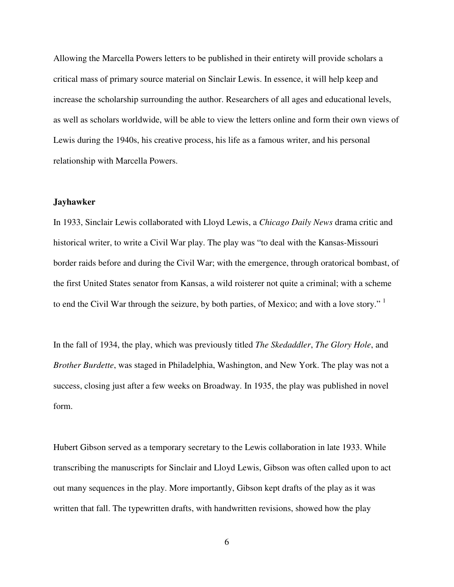Allowing the Marcella Powers letters to be published in their entirety will provide scholars a critical mass of primary source material on Sinclair Lewis. In essence, it will help keep and increase the scholarship surrounding the author. Researchers of all ages and educational levels, as well as scholars worldwide, will be able to view the letters online and form their own views of Lewis during the 1940s, his creative process, his life as a famous writer, and his personal relationship with Marcella Powers.

#### **Jayhawker**

In 1933, Sinclair Lewis collaborated with Lloyd Lewis, a *Chicago Daily News* drama critic and historical writer, to write a Civil War play. The play was "to deal with the Kansas-Missouri border raids before and during the Civil War; with the emergence, through oratorical bombast, of the first United States senator from Kansas, a wild roisterer not quite a criminal; with a scheme to end the Civil War through the seizure, by both parties, of Mexico; and with a love story." <sup>1</sup>

In the fall of 1934, the play, which was previously titled *The Skedaddler*, *The Glory Hole*, and *Brother Burdette*, was staged in Philadelphia, Washington, and New York. The play was not a success, closing just after a few weeks on Broadway. In 1935, the play was published in novel form.

Hubert Gibson served as a temporary secretary to the Lewis collaboration in late 1933. While transcribing the manuscripts for Sinclair and Lloyd Lewis, Gibson was often called upon to act out many sequences in the play. More importantly, Gibson kept drafts of the play as it was written that fall. The typewritten drafts, with handwritten revisions, showed how the play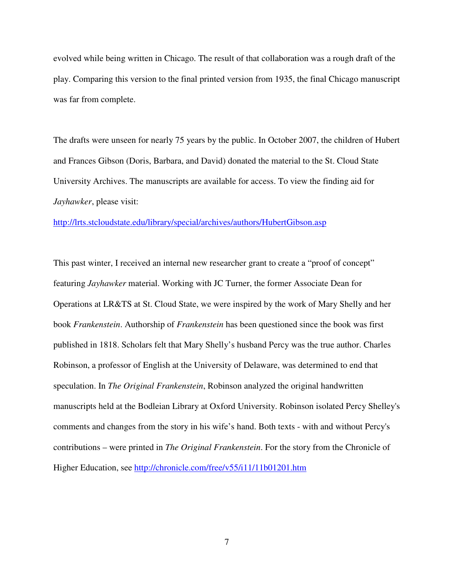evolved while being written in Chicago. The result of that collaboration was a rough draft of the play. Comparing this version to the final printed version from 1935, the final Chicago manuscript was far from complete.

The drafts were unseen for nearly 75 years by the public. In October 2007, the children of Hubert and Frances Gibson (Doris, Barbara, and David) donated the material to the St. Cloud State University Archives. The manuscripts are available for access. To view the finding aid for *Jayhawker*, please visit:

http://lrts.stcloudstate.edu/library/special/archives/authors/HubertGibson.asp

This past winter, I received an internal new researcher grant to create a "proof of concept" featuring *Jayhawker* material. Working with JC Turner, the former Associate Dean for Operations at LR&TS at St. Cloud State, we were inspired by the work of Mary Shelly and her book *Frankenstein*. Authorship of *Frankenstein* has been questioned since the book was first published in 1818. Scholars felt that Mary Shelly's husband Percy was the true author. Charles Robinson, a professor of English at the University of Delaware, was determined to end that speculation. In *The Original Frankenstein*, Robinson analyzed the original handwritten manuscripts held at the Bodleian Library at Oxford University. Robinson isolated Percy Shelley's comments and changes from the story in his wife's hand. Both texts - with and without Percy's contributions – were printed in *The Original Frankenstein*. For the story from the Chronicle of Higher Education, see http://chronicle.com/free/v55/i11/11b01201.htm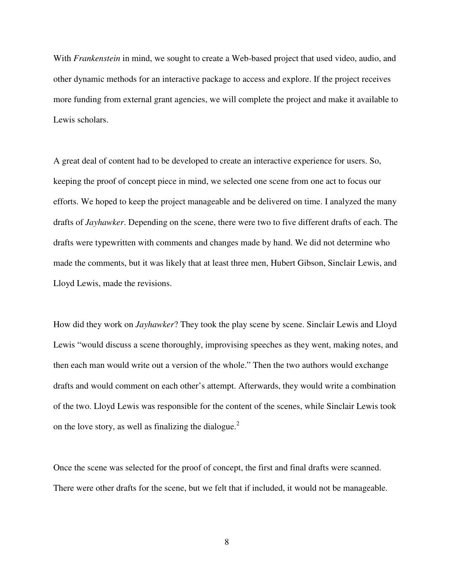With *Frankenstein* in mind, we sought to create a Web-based project that used video, audio, and other dynamic methods for an interactive package to access and explore. If the project receives more funding from external grant agencies, we will complete the project and make it available to Lewis scholars.

A great deal of content had to be developed to create an interactive experience for users. So, keeping the proof of concept piece in mind, we selected one scene from one act to focus our efforts. We hoped to keep the project manageable and be delivered on time. I analyzed the many drafts of *Jayhawker*. Depending on the scene, there were two to five different drafts of each. The drafts were typewritten with comments and changes made by hand. We did not determine who made the comments, but it was likely that at least three men, Hubert Gibson, Sinclair Lewis, and Lloyd Lewis, made the revisions.

How did they work on *Jayhawker*? They took the play scene by scene. Sinclair Lewis and Lloyd Lewis "would discuss a scene thoroughly, improvising speeches as they went, making notes, and then each man would write out a version of the whole." Then the two authors would exchange drafts and would comment on each other's attempt. Afterwards, they would write a combination of the two. Lloyd Lewis was responsible for the content of the scenes, while Sinclair Lewis took on the love story, as well as finalizing the dialogue.<sup>2</sup>

Once the scene was selected for the proof of concept, the first and final drafts were scanned. There were other drafts for the scene, but we felt that if included, it would not be manageable.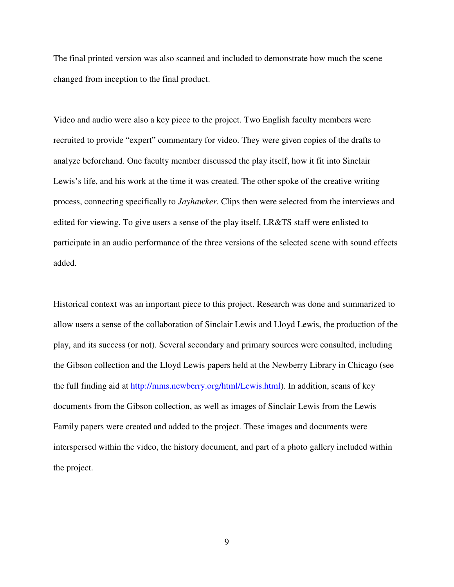The final printed version was also scanned and included to demonstrate how much the scene changed from inception to the final product.

Video and audio were also a key piece to the project. Two English faculty members were recruited to provide "expert" commentary for video. They were given copies of the drafts to analyze beforehand. One faculty member discussed the play itself, how it fit into Sinclair Lewis's life, and his work at the time it was created. The other spoke of the creative writing process, connecting specifically to *Jayhawker*. Clips then were selected from the interviews and edited for viewing. To give users a sense of the play itself, LR&TS staff were enlisted to participate in an audio performance of the three versions of the selected scene with sound effects added.

Historical context was an important piece to this project. Research was done and summarized to allow users a sense of the collaboration of Sinclair Lewis and Lloyd Lewis, the production of the play, and its success (or not). Several secondary and primary sources were consulted, including the Gibson collection and the Lloyd Lewis papers held at the Newberry Library in Chicago (see the full finding aid at http://mms.newberry.org/html/Lewis.html). In addition, scans of key documents from the Gibson collection, as well as images of Sinclair Lewis from the Lewis Family papers were created and added to the project. These images and documents were interspersed within the video, the history document, and part of a photo gallery included within the project.